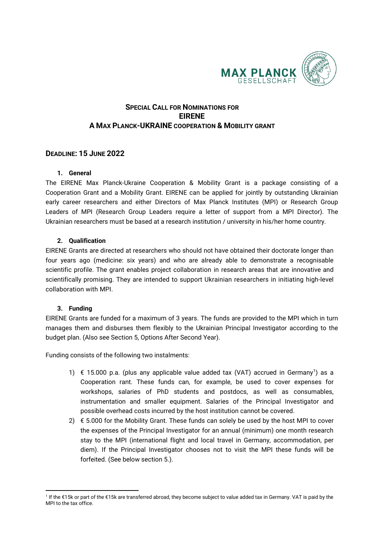

# **SPECIAL CALL FOR NOMINATIONS FOR EIRENE A MAX PLANCK-UKRAINE COOPERATION & MOBILITY GRANT**

## **DEADLINE: 15 JUNE 2022**

#### **1. General**

The EIRENE Max Planck-Ukraine Cooperation & Mobility Grant is a package consisting of a Cooperation Grant and a Mobility Grant. EIRENE can be applied for jointly by outstanding Ukrainian early career researchers and either Directors of Max Planck Institutes (MPI) or Research Group Leaders of MPI (Research Group Leaders require a letter of support from a MPI Director). The Ukrainian researchers must be based at a research institution / university in his/her home country.

## **2. Qualification**

EIRENE Grants are directed at researchers who should not have obtained their doctorate longer than four years ago (medicine: six years) and who are already able to demonstrate a recognisable scientific profile. The grant enables project collaboration in research areas that are innovative and scientifically promising. They are intended to support Ukrainian researchers in initiating high-level collaboration with MPI.

## **3. Funding**

l

EIRENE Grants are funded for a maximum of 3 years. The funds are provided to the MPI which in turn manages them and disburses them flexibly to the Ukrainian Principal Investigator according to the budget plan. (Also see Section 5, Options After Second Year).

Funding consists of the following two instalments:

- 1[\)](#page-0-0) € 15.000 p.a. (plus any applicable value added tax (VAT) accrued in Germany<sup>1</sup>) as a Cooperation rant. These funds can, for example, be used to cover expenses for workshops, salaries of PhD students and postdocs, as well as consumables, instrumentation and smaller equipment. Salaries of the Principal Investigator and possible overhead costs incurred by the host institution cannot be covered.
- 2)  $\epsilon$  5.000 for the Mobility Grant. These funds can solely be used by the host MPI to cover the expenses of the Principal Investigator for an annual (minimum) one month research stay to the MPI (international flight and local travel in Germany, accommodation, per diem). If the Principal Investigator chooses not to visit the MPI these funds will be forfeited. (See below section 5.).

<span id="page-0-0"></span><sup>1</sup> If the €15k or part of the €15k are transferred abroad, they become subject to value added tax in Germany. VAT is paid by the MPI to the tax office.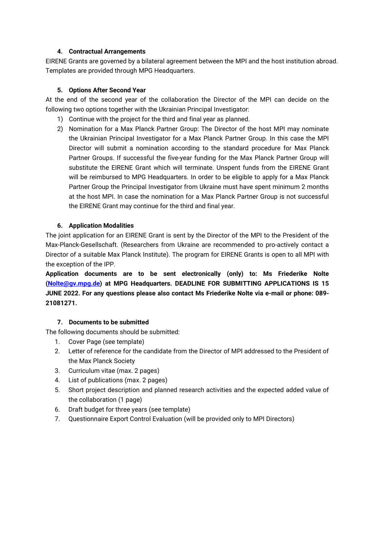#### **4. Contractual Arrangements**

EIRENE Grants are governed by a bilateral agreement between the MPI and the host institution abroad. Templates are provided through MPG Headquarters.

#### **5. Options After Second Year**

At the end of the second year of the collaboration the Director of the MPI can decide on the following two options together with the Ukrainian Principal Investigator:

- 1) Continue with the project for the third and final year as planned.
- 2) Nomination for a Max Planck Partner Group: The Director of the host MPI may nominate the Ukrainian Principal Investigator for a Max Planck Partner Group. In this case the MPI Director will submit a nomination according to the standard procedure for Max Planck Partner Groups. If successful the five-year funding for the Max Planck Partner Group will substitute the EIRENE Grant which will terminate. Unspent funds from the EIRENE Grant will be reimbursed to MPG Headquarters. In order to be eligible to apply for a Max Planck Partner Group the Principal Investigator from Ukraine must have spent minimum 2 months at the host MPI. In case the nomination for a Max Planck Partner Group is not successful the EIRENE Grant may continue for the third and final year.

## **6. Application Modalities**

The joint application for an EIRENE Grant is sent by the Director of the MPI to the President of the Max-Planck-Gesellschaft. (Researchers from Ukraine are recommended to pro-actively contact a Director of a suitable Max Planck Institute). The program for EIRENE Grants is open to all MPI with the exception of the IPP.

**Application documents are to be sent electronically (only) to: Ms Friederike Nolte [\(Nolte@gv.mpg.de\)](mailto:Nolte@gv.mpg.de) at MPG Headquarters. DEADLINE FOR SUBMITTING APPLICATIONS IS 15 JUNE 2022. For any questions please also contact Ms Friederike Nolte via e-mail or phone: 089- 21081271.** 

## **7. Documents to be submitted**

The following documents should be submitted:

- 1. Cover Page (see template)
- 2. Letter of reference for the candidate from the Director of MPI addressed to the President of the Max Planck Society
- 3. Curriculum vitae (max. 2 pages)
- 4. List of publications (max. 2 pages)
- 5. Short project description and planned research activities and the expected added value of the collaboration (1 page)
- 6. Draft budget for three years (see template)
- 7. Questionnaire Export Control Evaluation (will be provided only to MPI Directors)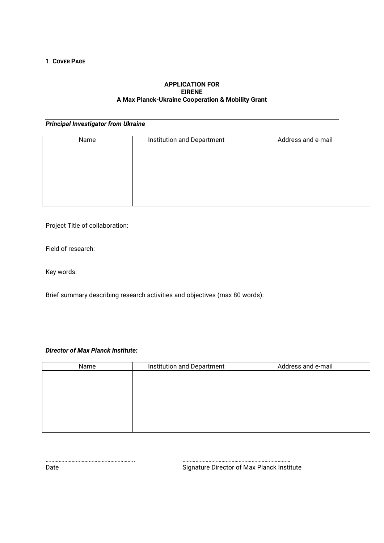#### **APPLICATION FOR EIRENE A Max Planck-Ukraine Cooperation & Mobility Grant**

# *Principal Investigator from Ukraine*

| Name | Institution and Department | Address and e-mail |
|------|----------------------------|--------------------|
|      |                            |                    |
|      |                            |                    |
|      |                            |                    |
|      |                            |                    |
|      |                            |                    |
|      |                            |                    |
|      |                            |                    |

Project Title of collaboration:

Field of research:

Key words:

Brief summary describing research activities and objectives (max 80 words):

# *Director of Max Planck Institute:*

| Name | Institution and Department | Address and e-mail |  |
|------|----------------------------|--------------------|--|
|      |                            |                    |  |
|      |                            |                    |  |
|      |                            |                    |  |
|      |                            |                    |  |
|      |                            |                    |  |
|      |                            |                    |  |
|      |                            |                    |  |

…………………………………………………….. ………………………………………………………………… Date **Signature Director of Max Planck Institute**